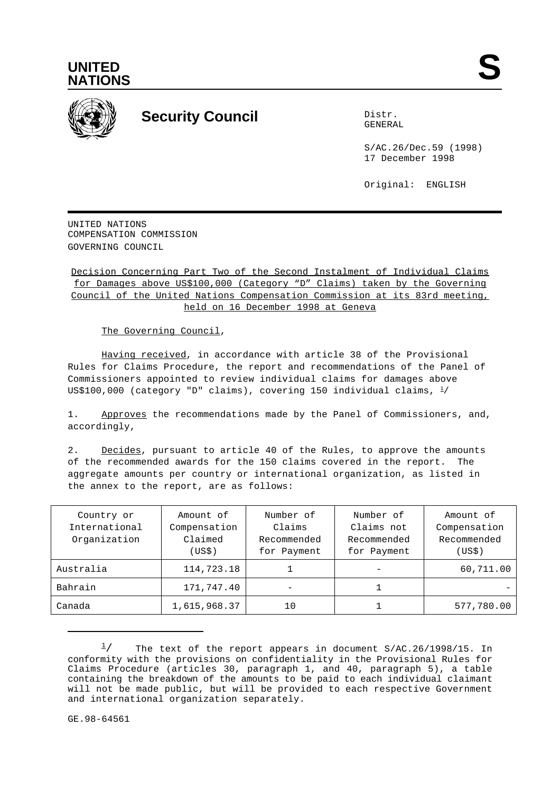



## **Security Council** Distribution Distribution

GENERAL

S/AC.26/Dec.59 (1998) 17 December 1998

Original: ENGLISH

UNITED NATIONS COMPENSATION COMMISSION GOVERNING COUNCIL

Decision Concerning Part Two of the Second Instalment of Individual Claims for Damages above US\$100,000 (Category "D" Claims) taken by the Governing Council of the United Nations Compensation Commission at its 83rd meeting, held on 16 December 1998 at Geneva

The Governing Council,

Having received, in accordance with article 38 of the Provisional Rules for Claims Procedure, the report and recommendations of the Panel of Commissioners appointed to review individual claims for damages above US\$100,000 (category "D" claims), covering 150 individual claims,  $\frac{1}{2}$ 

1. Approves the recommendations made by the Panel of Commissioners, and, accordingly,

2. Decides, pursuant to article 40 of the Rules, to approve the amounts of the recommended awards for the 150 claims covered in the report. The aggregate amounts per country or international organization, as listed in the annex to the report, are as follows:

| Country or<br>International<br>Organization | Amount of<br>Compensation<br>Claimed<br>(USS) | Number of<br>Claims<br>Recommended<br>for Payment | Number of<br>Claims not<br>Recommended<br>for Payment | Amount of<br>Compensation<br>Recommended<br>(USS) |
|---------------------------------------------|-----------------------------------------------|---------------------------------------------------|-------------------------------------------------------|---------------------------------------------------|
| Australia                                   | 114,723.18                                    |                                                   |                                                       | 60,711.00                                         |
| Bahrain                                     | 171,747.40                                    |                                                   |                                                       |                                                   |
| Canada                                      | 1,615,968.37                                  | 10                                                |                                                       | 577,780.00                                        |

The text of the report appears in document S/AC.26/1998/15. In  $\frac{1}{2}$ conformity with the provisions on confidentiality in the Provisional Rules for Claims Procedure (articles 30, paragraph 1, and 40, paragraph 5), a table containing the breakdown of the amounts to be paid to each individual claimant will not be made public, but will be provided to each respective Government and international organization separately.